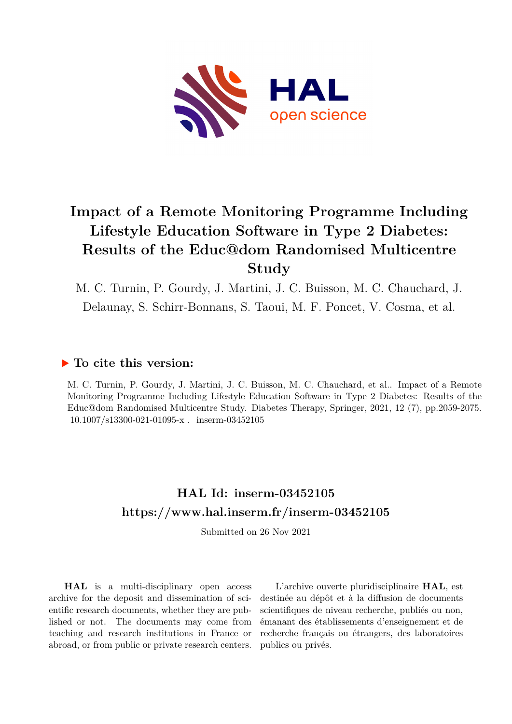

# **Impact of a Remote Monitoring Programme Including Lifestyle Education Software in Type 2 Diabetes: Results of the Educ@dom Randomised Multicentre Study**

M. C. Turnin, P. Gourdy, J. Martini, J. C. Buisson, M. C. Chauchard, J. Delaunay, S. Schirr-Bonnans, S. Taoui, M. F. Poncet, V. Cosma, et al.

## **To cite this version:**

M. C. Turnin, P. Gourdy, J. Martini, J. C. Buisson, M. C. Chauchard, et al.. Impact of a Remote Monitoring Programme Including Lifestyle Education Software in Type 2 Diabetes: Results of the Educ@dom Randomised Multicentre Study. Diabetes Therapy, Springer, 2021, 12 (7), pp.2059-2075.  $10.1007/s13300-021-01095-x$ . inserm-03452105

# **HAL Id: inserm-03452105 <https://www.hal.inserm.fr/inserm-03452105>**

Submitted on 26 Nov 2021

**HAL** is a multi-disciplinary open access archive for the deposit and dissemination of scientific research documents, whether they are published or not. The documents may come from teaching and research institutions in France or abroad, or from public or private research centers.

L'archive ouverte pluridisciplinaire **HAL**, est destinée au dépôt et à la diffusion de documents scientifiques de niveau recherche, publiés ou non, émanant des établissements d'enseignement et de recherche français ou étrangers, des laboratoires publics ou privés.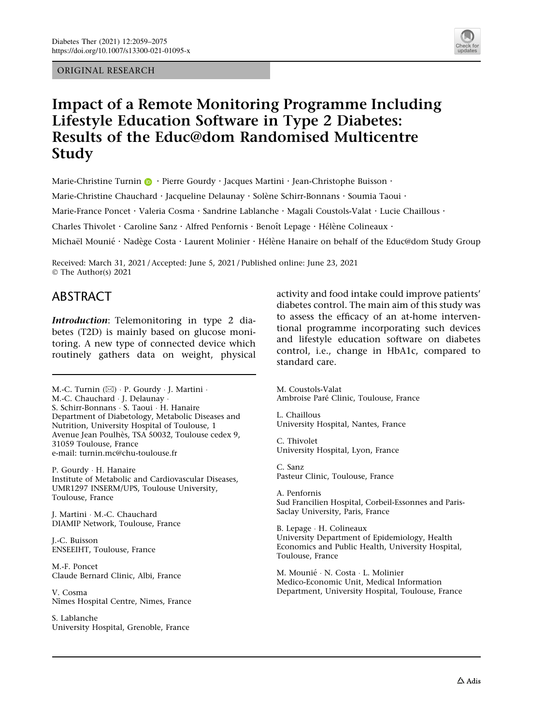ORIGINAL RESEARCH



# Impact of a Remote Monitoring Programme Including Lifestyle Education Software in Type 2 Diabetes: Results of the Educ@dom Randomised Multicentre Study

Marie-Christine Turnin  $\mathbf{D} \cdot$  Pierre Gourdy  $\cdot$  Jacques Martini  $\cdot$  Jean-Christophe Buisson  $\cdot$ 

Marie-Christine Chauchard · Jacqueline Delaunay · Solène Schirr-Bonnans · Soumia Taoui ·

Marie-France Poncet · Valeria Cosma · Sandrine Lablanche · Magali Coustols-Valat · Lucie Chaillous ·

Charles Thivolet · Caroline Sanz · Alfred Penfornis · Benoît Lepage · Hélène Colineaux ·

Michaël Mounié · Nadège Costa · Laurent Molinier · Hélène Hanaire on behalf of the Educ@dom Study Group

Received: March 31, 2021 / Accepted: June 5, 2021 / Published online: June 23, 2021 © The Author(s) 2021

## ABSTRACT

Introduction: Telemonitoring in type 2 diabetes (T2D) is mainly based on glucose monitoring. A new type of connected device which routinely gathers data on weight, physical

M.-C. Turnin (⊠) · P. Gourdy · J. Martini · M.-C. Chauchard - J. Delaunay - S. Schirr-Bonnans - S. Taoui - H. Hanaire Department of Diabetology, Metabolic Diseases and Nutrition, University Hospital of Toulouse, 1 Avenue Jean Poulhès, TSA 50032, Toulouse cedex 9, 31059 Toulouse, France e-mail: turnin.mc@chu-toulouse.fr

P. Gourdy - H. Hanaire Institute of Metabolic and Cardiovascular Diseases, UMR1297 INSERM/UPS, Toulouse University, Toulouse, France

J. Martini - M.-C. Chauchard DIAMIP Network, Toulouse, France

J.-C. Buisson ENSEEIHT, Toulouse, France

M.-F. Poncet Claude Bernard Clinic, Albi, France

V. Cosma Nîmes Hospital Centre, Nimes, France

S. Lablanche University Hospital, Grenoble, France activity and food intake could improve patients' diabetes control. The main aim of this study was to assess the efficacy of an at-home interventional programme incorporating such devices and lifestyle education software on diabetes control, i.e., change in HbA1c, compared to standard care.

M. Coustols-Valat Ambroise Paré Clinic, Toulouse, France

L. Chaillous University Hospital, Nantes, France

C. Thivolet University Hospital, Lyon, France

C. Sanz Pasteur Clinic, Toulouse, France

A. Penfornis Sud Francilien Hospital, Corbeil-Essonnes and Paris-Saclay University, Paris, France

B. Lepage - H. Colineaux University Department of Epidemiology, Health Economics and Public Health, University Hospital, Toulouse, France

M. Mounié · N. Costa · L. Molinier Medico-Economic Unit, Medical Information Department, University Hospital, Toulouse, France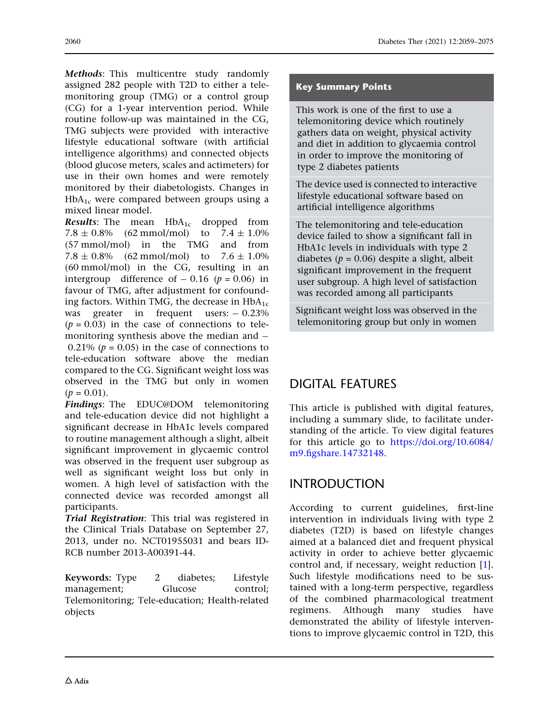Methods: This multicentre study randomly assigned 282 people with T2D to either a telemonitoring group (TMG) or a control group (CG) for a 1-year intervention period. While routine follow-up was maintained in the CG, TMG subjects were provided with interactive lifestyle educational software (with artificial intelligence algorithms) and connected objects (blood glucose meters, scales and actimeters) for use in their own homes and were remotely monitored by their diabetologists. Changes in  $HbA_{1c}$  were compared between groups using a mixed linear model.

**Results:** The mean  $HbA_{1c}$  dropped from 7.8  $\pm$  0.8% (62 mmol/mol) to 7.4  $\pm$  1.0% (57 mmol/mol) in the TMG and from  $7.8 \pm 0.8\%$  (62 mmol/mol) to  $7.6 \pm 1.0\%$ (60 mmol/mol) in the CG, resulting in an intergroup difference of  $-0.16$  ( $p = 0.06$ ) in favour of TMG, after adjustment for confounding factors. Within TMG, the decrease in  $HbA_{1c}$ was greater in frequent users:  $-0.23\%$  $(p = 0.03)$  in the case of connections to telemonitoring synthesis above the median and  $-$ 0.21% ( $p = 0.05$ ) in the case of connections to tele-education software above the median compared to the CG. Significant weight loss was observed in the TMG but only in women  $(p = 0.01)$ .

Findings: The EDUC@DOM telemonitoring and tele-education device did not highlight a significant decrease in HbA1c levels compared to routine management although a slight, albeit significant improvement in glycaemic control was observed in the frequent user subgroup as well as significant weight loss but only in women. A high level of satisfaction with the connected device was recorded amongst all participants.

Trial Registration: This trial was registered in the Clinical Trials Database on September 27, 2013, under no. NCT01955031 and bears ID-RCB number 2013-A00391-44.

Keywords: Type 2 diabetes; Lifestyle management; Glucose control; Telemonitoring; Tele-education; Health-related objects

### Key Summary Points

This work is one of the first to use a telemonitoring device which routinely gathers data on weight, physical activity and diet in addition to glycaemia control in order to improve the monitoring of type 2 diabetes patients

The device used is connected to interactive lifestyle educational software based on artificial intelligence algorithms

The telemonitoring and tele-education device failed to show a significant fall in HbA1c levels in individuals with type 2 diabetes ( $p = 0.06$ ) despite a slight, albeit significant improvement in the frequent user subgroup. A high level of satisfaction was recorded among all participants

Significant weight loss was observed in the telemonitoring group but only in women

# DIGITAL FEATURES

This article is published with digital features, including a summary slide, to facilitate understanding of the article. To view digital features for this article go to [https://doi.org/10.6084/](https://doi.org/10.6084/m9.figshare.14732148) [m9.figshare.14732148](https://doi.org/10.6084/m9.figshare.14732148).

## INTRODUCTION

According to current guidelines, first-line intervention in individuals living with type 2 diabetes (T2D) is based on lifestyle changes aimed at a balanced diet and frequent physical activity in order to achieve better glycaemic control and, if necessary, weight reduction [1]. Such lifestyle modifications need to be sustained with a long-term perspective, regardless of the combined pharmacological treatment regimens. Although many studies have demonstrated the ability of lifestyle interventions to improve glycaemic control in T2D, this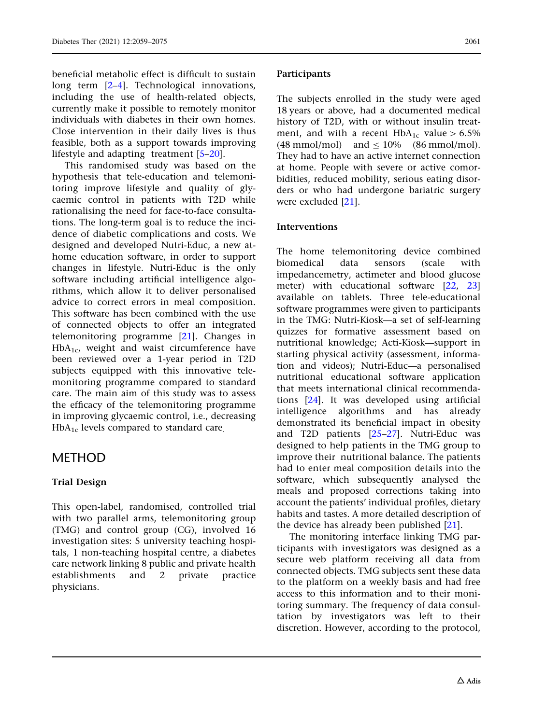beneficial metabolic effect is difficult to sustain long term [2–4]. Technological innovations, including the use of health-related objects, currently make it possible to remotely monitor individuals with diabetes in their own homes. Close intervention in their daily lives is thus feasible, both as a support towards improving lifestyle and adapting treatment [5–20].

This randomised study was based on the hypothesis that tele-education and telemonitoring improve lifestyle and quality of glycaemic control in patients with T2D while rationalising the need for face-to-face consultations. The long-term goal is to reduce the incidence of diabetic complications and costs. We designed and developed Nutri-Educ, a new athome education software, in order to support changes in lifestyle. Nutri-Educ is the only software including artificial intelligence algorithms, which allow it to deliver personalised advice to correct errors in meal composition. This software has been combined with the use of connected objects to offer an integrated telemonitoring programme [21]. Changes in  $HbA<sub>1c</sub>$ , weight and waist circumference have been reviewed over a 1-year period in T2D subjects equipped with this innovative telemonitoring programme compared to standard care. The main aim of this study was to assess the efficacy of the telemonitoring programme in improving glycaemic control, i.e., decreasing  $HbA_{1c}$  levels compared to standard care.

### METHOD

### Trial Design

This open-label, randomised, controlled trial with two parallel arms, telemonitoring group (TMG) and control group (CG), involved 16 investigation sites: 5 university teaching hospitals, 1 non-teaching hospital centre, a diabetes care network linking 8 public and private health establishments and 2 private practice physicians.

#### **Participants**

The subjects enrolled in the study were aged 18 years or above, had a documented medical history of T2D, with or without insulin treatment, and with a recent HbA<sub>1c</sub> value  $> 6.5\%$ (48 mmol/mol) and  $\leq 10\%$  (86 mmol/mol). They had to have an active internet connection at home. People with severe or active comorbidities, reduced mobility, serious eating disorders or who had undergone bariatric surgery were excluded [21].

#### Interventions

The home telemonitoring device combined biomedical data sensors (scale with impedancemetry, actimeter and blood glucose meter) with educational software [22, 23] available on tablets. Three tele-educational software programmes were given to participants in the TMG: Nutri-Kiosk—a set of self-learning quizzes for formative assessment based on nutritional knowledge; Acti-Kiosk—support in starting physical activity (assessment, information and videos); Nutri-Educ—a personalised nutritional educational software application that meets international clinical recommendations [24]. It was developed using artificial intelligence algorithms and has already demonstrated its beneficial impact in obesity and T2D patients [25–27]. Nutri-Educ was designed to help patients in the TMG group to improve their nutritional balance. The patients had to enter meal composition details into the software, which subsequently analysed the meals and proposed corrections taking into account the patients' individual profiles, dietary habits and tastes. A more detailed description of the device has already been published [21].

The monitoring interface linking TMG participants with investigators was designed as a secure web platform receiving all data from connected objects. TMG subjects sent these data to the platform on a weekly basis and had free access to this information and to their monitoring summary. The frequency of data consultation by investigators was left to their discretion. However, according to the protocol,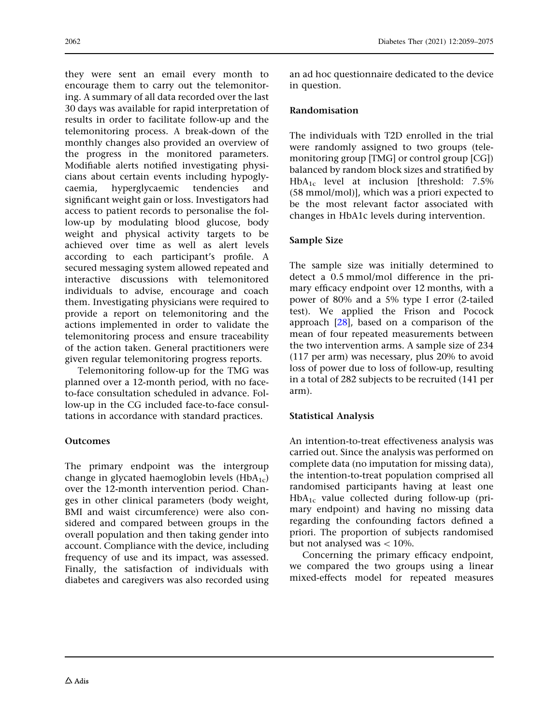they were sent an email every month to encourage them to carry out the telemonitoring. A summary of all data recorded over the last 30 days was available for rapid interpretation of results in order to facilitate follow-up and the telemonitoring process. A break-down of the monthly changes also provided an overview of the progress in the monitored parameters. Modifiable alerts notified investigating physicians about certain events including hypoglycaemia, hyperglycaemic tendencies and significant weight gain or loss. Investigators had access to patient records to personalise the follow-up by modulating blood glucose, body weight and physical activity targets to be achieved over time as well as alert levels according to each participant's profile. A secured messaging system allowed repeated and interactive discussions with telemonitored individuals to advise, encourage and coach them. Investigating physicians were required to provide a report on telemonitoring and the actions implemented in order to validate the telemonitoring process and ensure traceability of the action taken. General practitioners were given regular telemonitoring progress reports.

Telemonitoring follow-up for the TMG was planned over a 12-month period, with no faceto-face consultation scheduled in advance. Follow-up in the CG included face-to-face consultations in accordance with standard practices.

### **Outcomes**

The primary endpoint was the intergroup change in glycated haemoglobin levels  $(HbA_{1c})$ over the 12-month intervention period. Changes in other clinical parameters (body weight, BMI and waist circumference) were also considered and compared between groups in the overall population and then taking gender into account. Compliance with the device, including frequency of use and its impact, was assessed. Finally, the satisfaction of individuals with diabetes and caregivers was also recorded using an ad hoc questionnaire dedicated to the device in question.

### Randomisation

The individuals with T2D enrolled in the trial were randomly assigned to two groups (telemonitoring group [TMG] or control group [CG]) balanced by random block sizes and stratified by HbA1c level at inclusion [threshold: 7.5% (58 mmol/mol)], which was a priori expected to be the most relevant factor associated with changes in HbA1c levels during intervention.

### Sample Size

The sample size was initially determined to detect a 0.5 mmol/mol difference in the primary efficacy endpoint over 12 months, with a power of 80% and a 5% type I error (2-tailed test). We applied the Frison and Pocock approach [28], based on a comparison of the mean of four repeated measurements between the two intervention arms. A sample size of 234 (117 per arm) was necessary, plus 20% to avoid loss of power due to loss of follow-up, resulting in a total of 282 subjects to be recruited (141 per arm).

### Statistical Analysis

An intention-to-treat effectiveness analysis was carried out. Since the analysis was performed on complete data (no imputation for missing data), the intention-to-treat population comprised all randomised participants having at least one  $HbA_{1c}$  value collected during follow-up (primary endpoint) and having no missing data regarding the confounding factors defined a priori. The proportion of subjects randomised but not analysed was  $< 10\%$ .

Concerning the primary efficacy endpoint, we compared the two groups using a linear mixed-effects model for repeated measures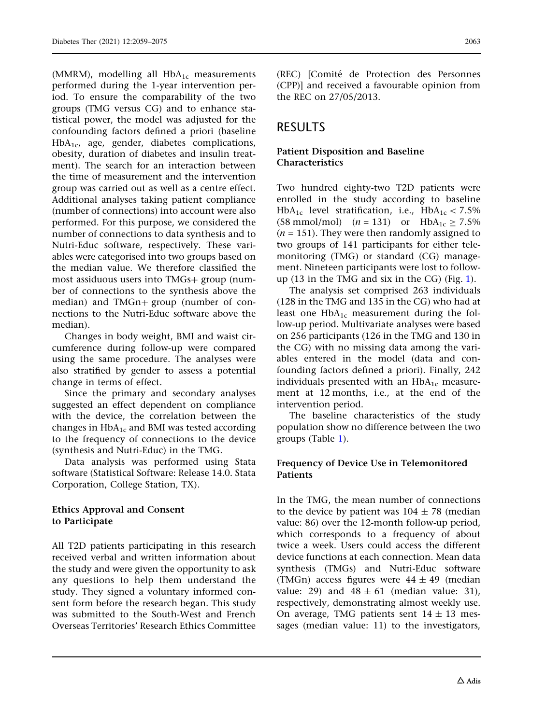(MMRM), modelling all  $HbA_{1c}$  measurements performed during the 1-year intervention period. To ensure the comparability of the two groups (TMG versus CG) and to enhance statistical power, the model was adjusted for the confounding factors defined a priori (baseline HbA<sub>1c</sub>, age, gender, diabetes complications, obesity, duration of diabetes and insulin treatment). The search for an interaction between

the time of measurement and the intervention group was carried out as well as a centre effect. Additional analyses taking patient compliance (number of connections) into account were also performed. For this purpose, we considered the number of connections to data synthesis and to Nutri-Educ software, respectively. These variables were categorised into two groups based on the median value. We therefore classified the most assiduous users into  $TMGs+$  group (number of connections to the synthesis above the median) and  $TMGn+$  group (number of connections to the Nutri-Educ software above the median).

Changes in body weight, BMI and waist circumference during follow-up were compared using the same procedure. The analyses were also stratified by gender to assess a potential change in terms of effect.

Since the primary and secondary analyses suggested an effect dependent on compliance with the device, the correlation between the changes in  $HbA_{1c}$  and BMI was tested according to the frequency of connections to the device (synthesis and Nutri-Educ) in the TMG.

Data analysis was performed using Stata software (Statistical Software: Release 14.0. Stata Corporation, College Station, TX).

### Ethics Approval and Consent to Participate

All T2D patients participating in this research received verbal and written information about the study and were given the opportunity to ask any questions to help them understand the study. They signed a voluntary informed consent form before the research began. This study was submitted to the South-West and French Overseas Territories' Research Ethics Committee

(REC) [Comite´ de Protection des Personnes (CPP)] and received a favourable opinion from the REC on 27/05/2013.

# **RESULTS**

### Patient Disposition and Baseline Characteristics

Two hundred eighty-two T2D patients were enrolled in the study according to baseline HbA<sub>1c</sub> level stratification, i.e., HbA<sub>1c</sub> < 7.5% (58 mmol/mol)  $(n = 131)$  or  $HbA_{1c} \ge 7.5\%$  $(n = 151)$ . They were then randomly assigned to two groups of 141 participants for either telemonitoring (TMG) or standard (CG) management. Nineteen participants were lost to followup (13 in the TMG and six in the CG) (Fig. 1).

The analysis set comprised 263 individuals (128 in the TMG and 135 in the CG) who had at least one  $HbA_{1c}$  measurement during the follow-up period. Multivariate analyses were based on 256 participants (126 in the TMG and 130 in the CG) with no missing data among the variables entered in the model (data and confounding factors defined a priori). Finally, 242 individuals presented with an  $HbA_{1c}$  measurement at 12 months, i.e., at the end of the intervention period.

The baseline characteristics of the study population show no difference between the two groups (Table 1).

### Frequency of Device Use in Telemonitored Patients

In the TMG, the mean number of connections to the device by patient was  $104 \pm 78$  (median value: 86) over the 12-month follow-up period, which corresponds to a frequency of about twice a week. Users could access the different device functions at each connection. Mean data synthesis (TMGs) and Nutri-Educ software (TMGn) access figures were  $44 \pm 49$  (median value: 29) and  $48 \pm 61$  (median value: 31), respectively, demonstrating almost weekly use. On average, TMG patients sent  $14 \pm 13$  messages (median value: 11) to the investigators,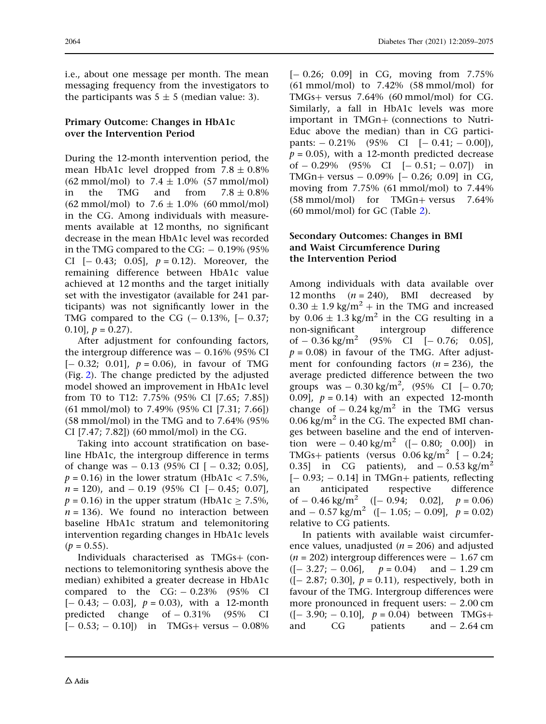i.e., about one message per month. The mean messaging frequency from the investigators to the participants was  $5 \pm 5$  (median value: 3).

### Primary Outcome: Changes in HbA1c over the Intervention Period

During the 12-month intervention period, the mean HbA1c level dropped from  $7.8 \pm 0.8\%$  $(62 \text{ mmol/mol})$  to  $7.4 \pm 1.0\%$  (57 mmol/mol) in the TMG and from  $7.8 + 0.8\%$  $(62 \text{ mmol/mol})$  to  $7.6 \pm 1.0\%$   $(60 \text{ mmol/mol})$ in the CG. Among individuals with measurements available at 12 months, no significant decrease in the mean HbA1c level was recorded in the TMG compared to the CG:  $-0.19\%$  (95%) CI  $[-0.43; 0.05]$ ,  $p = 0.12$ ). Moreover, the remaining difference between HbA1c value achieved at 12 months and the target initially set with the investigator (available for 241 participants) was not significantly lower in the TMG compared to the CG  $(-0.13\%, [-0.37;$ 0.10],  $p = 0.27$ .

After adjustment for confounding factors, the intergroup difference was  $-0.16\%$  (95% CI  $[- 0.32; 0.01], p = 0.06$ , in favour of TMG (Fig. 2). The change predicted by the adjusted model showed an improvement in HbA1c level from T0 to T12: 7.75% (95% CI [7.65; 7.85]) (61 mmol/mol) to 7.49% (95% CI [7.31; 7.66]) (58 mmol/mol) in the TMG and to 7.64% (95% CI [7.47; 7.82]) (60 mmol/mol) in the CG.

Taking into account stratification on baseline HbA1c, the intergroup difference in terms of change was  $-0.13$  (95% CI  $[-0.32; 0.05]$ ,  $p = 0.16$ ) in the lower stratum (HbA1c < 7.5%,  $n = 120$ , and  $-0.19$  (95% CI  $[-0.45; 0.07]$ ,  $p = 0.16$ ) in the upper stratum (HbA1c > 7.5%,  $n = 136$ ). We found no interaction between baseline HbA1c stratum and telemonitoring intervention regarding changes in HbA1c levels  $(p = 0.55)$ .

Individuals characterised as  $TMGs+$  (connections to telemonitoring synthesis above the median) exhibited a greater decrease in HbA1c compared to the  $CG: -0.23\%$  (95% CI  $[-0.43; -0.03]$ ,  $p = 0.03$ ), with a 12-month predicted change of  $-0.31\%$  (95% CI  $[- 0.53; -0.10]$  in TMGs+ versus  $- 0.08\%$   $[-0.26; 0.09]$  in CG, moving from 7.75%  $(61 \text{ mmol/mol})$  to  $7.42\%$   $(58 \text{ mmol/mol})$  for TMGs+ versus  $7.64\%$  (60 mmol/mol) for CG. Similarly, a fall in HbA1c levels was more important in TMGn+ (connections to Nutri-Educ above the median) than in CG participants:  $-0.21\%$  (95% CI  $[-0.41; -0.00]$ ),  $p = 0.05$ ), with a 12-month predicted decrease of  $-0.29\%$  (95% CI  $[-0.51; -0.07]$ ) in TMGn+ versus  $-0.09\%$  [ $-0.26$ ; 0.09] in CG, moving from 7.75% (61 mmol/mol) to 7.44%  $(58 \text{ mmol/mol})$  for TMGn+ versus 7.64% (60 mmol/mol) for GC (Table 2).

### Secondary Outcomes: Changes in BMI and Waist Circumference During the Intervention Period

Among individuals with data available over 12 months  $(n = 240)$ , BMI decreased by  $0.30 \pm 1.9$  kg/m<sup>2</sup> + in the TMG and increased by  $0.06 \pm 1.3$  kg/m<sup>2</sup> in the CG resulting in a non-significant intergroup difference of  $-0.36$  kg/m<sup>2</sup> (95% CI [ $-0.76$ ; 0.05],  $p = 0.08$ ) in favour of the TMG. After adjustment for confounding factors  $(n = 236)$ , the average predicted difference between the two groups was  $-0.30 \text{ kg/m}^2$ , (95% CI [ $-0.70$ ; 0.09],  $p = 0.14$ ) with an expected 12-month change of  $-0.24$  kg/m<sup>2</sup> in the TMG versus  $0.06 \text{ kg/m}^2$  in the CG. The expected BMI changes between baseline and the end of intervention were  $-0.40 \text{ kg/m}^2$  ([ $-0.80$ ; 0.00]) in TMGs+ patients (versus  $0.06 \text{ kg/m}^2$  [  $-0.24$ ; 0.35] in CG patients), and  $-0.53 \text{ kg/m}^2$  $[-0.93; -0.14]$  in TMGn+ patients, reflecting an anticipated respective difference of  $- 0.46$  kg/m<sup>2</sup> ([ $- 0.94$ ; 0.02],  $p = 0.06$ ) and  $-$  0.57 kg/m<sup>2</sup> ([-1.05; -0.09],  $p = 0.02$ ) relative to CG patients.

In patients with available waist circumference values, unadjusted ( $n = 206$ ) and adjusted  $(n = 202)$  intergroup differences were  $-1.67$  cm  $([- 3.27; -0.06], \quad p = 0.04) \quad \text{and} \quad -1.29 \text{ cm}$  $([- 2.87; 0.30], p = 0.11),$  respectively, both in favour of the TMG. Intergroup differences were more pronounced in frequent users:  $-2.00$  cm  $([- 3.90; -0.10], p = 0.04)$  between TMGs+ and  $CG$  patients and  $-2.64$  cm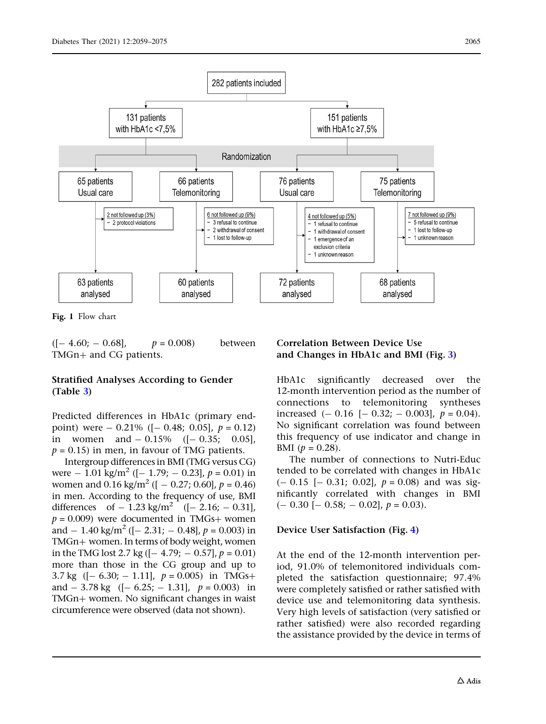

Fig. 1 Flow chart

 $([- 4.60; -0.68],$   $p = 0.008)$  between TMGn+ and CG patients.

### Stratified Analyses According to Gender (Table 3)

Predicted differences in HbA1c (primary endpoint) were  $-$  0.21% ( $[-$  0.48; 0.05],  $p = 0.12$ ) in women and  $-0.15\%$  ( $[-0.35; 0.05]$ ,  $p = 0.15$ ) in men, in favour of TMG patients.

Intergroup differences in BMI (TMG versus CG) were  $- 1.01 \text{ kg/m}^2$  ([ $- 1.79$ ;  $- 0.23$ ],  $p = 0.01$ ) in women and  $0.16 \text{ kg/m}^2$  ([  $- 0.27$ ; 0.60],  $p = 0.46$ ) in men. According to the frequency of use, BMI differences of  $-1.23 \text{ kg/m}^2$  ([ $-2.16$ ;  $-0.31$ ],  $p = 0.009$ ) were documented in TMGs+ women and  $-1.40 \text{ kg/m}^2$  ([ $-2.31$ ;  $-0.48$ ],  $p = 0.003$ ) in TMGn+ women. In terms of body weight, women in the TMG lost 2.7 kg ( $[- 4.79; - 0.57], p = 0.01$ ) more than those in the CG group and up to 3.7 kg  $([- 6.30; -1.11], p = 0.005)$  in TMGs+ and  $-3.78$  kg  $([- 6.25; -1.31], p = 0.003)$  in TMGn+ women. No significant changes in waist circumference were observed (data not shown).

### Correlation Between Device Use and Changes in HbA1c and BMI (Fig. 3)

HbA1c significantly decreased over the 12-month intervention period as the number of connections to telemonitoring syntheses increased  $(-0.16 [-0.32; -0.003], p = 0.04)$ . No significant correlation was found between this frequency of use indicator and change in BMI  $(p = 0.28)$ .

The number of connections to Nutri-Educ tended to be correlated with changes in HbA1c  $(-0.15 [-0.31; 0.02], p = 0.08)$  and was significantly correlated with changes in BMI  $(- 0.30 [-0.58; -0.02], p = 0.03).$ 

#### Device User Satisfaction (Fig. 4)

At the end of the 12-month intervention period, 91.0% of telemonitored individuals completed the satisfaction questionnaire; 97.4% were completely satisfied or rather satisfied with device use and telemonitoring data synthesis. Very high levels of satisfaction (very satisfied or rather satisfied) were also recorded regarding the assistance provided by the device in terms of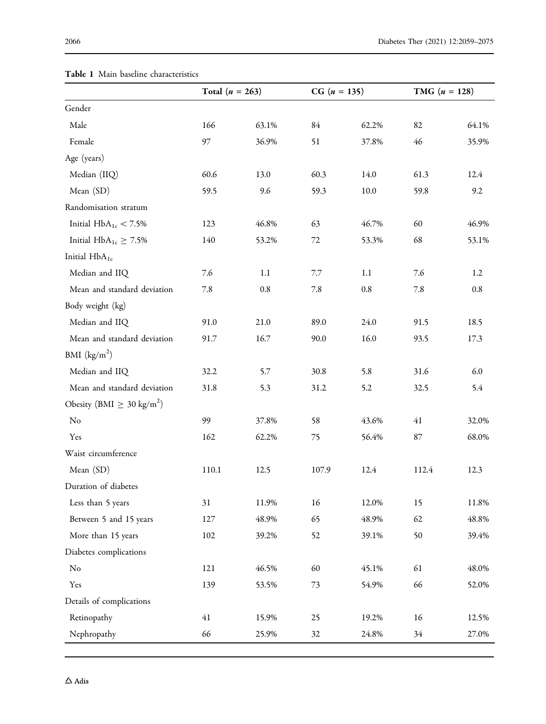|                                         | Total $(n = 263)$ |         | $CG (n = 135)$ |         | <b>TMG</b> $(n = 128)$ |       |
|-----------------------------------------|-------------------|---------|----------------|---------|------------------------|-------|
| Gender                                  |                   |         |                |         |                        |       |
| Male                                    | 166               | 63.1%   | 84             | 62.2%   | 82                     | 64.1% |
| Female                                  | 97                | 36.9%   | 51             | 37.8%   | 46                     | 35.9% |
| Age (years)                             |                   |         |                |         |                        |       |
| Median (IIQ)                            | 60.6              | 13.0    | 60.3           | 14.0    | 61.3                   | 12.4  |
| Mean (SD)                               | 59.5              | 9.6     | 59.3           | 10.0    | 59.8                   | 9.2   |
| Randomisation stratum                   |                   |         |                |         |                        |       |
| Initial $HbA_{1c} < 7.5\%$              | 123               | 46.8%   | 63             | 46.7%   | 60                     | 46.9% |
| Initial $HbA_{1c} \ge 7.5\%$            | 140               | 53.2%   | 72             | 53.3%   | 68                     | 53.1% |
| Initial HbA <sub>1c</sub>               |                   |         |                |         |                        |       |
| Median and IIQ                          | 7.6               | 1.1     | 7.7            | 1.1     | 7.6                    | 1.2   |
| Mean and standard deviation             | 7.8               | $0.8\,$ | 7.8            | $0.8\,$ | 7.8                    | 0.8   |
| Body weight (kg)                        |                   |         |                |         |                        |       |
| Median and IIQ                          | 91.0              | 21.0    | 89.0           | 24.0    | 91.5                   | 18.5  |
| Mean and standard deviation             | 91.7              | 16.7    | 90.0           | 16.0    | 93.5                   | 17.3  |
| BMI $(kg/m2)$                           |                   |         |                |         |                        |       |
| Median and IIQ                          | 32.2              | 5.7     | 30.8           | 5.8     | 31.6                   | 6.0   |
| Mean and standard deviation             | 31.8              | 5.3     | 31.2           | 5.2     | 32.5                   | 5.4   |
| Obesity (BMI $\geq 30 \text{ kg/m}^2$ ) |                   |         |                |         |                        |       |
| No                                      | 99                | 37.8%   | 58             | 43.6%   | 41                     | 32.0% |
| Yes                                     | 162               | 62.2%   | 75             | 56.4%   | $87\,$                 | 68.0% |
| Waist circumference                     |                   |         |                |         |                        |       |
| Mean (SD)                               | 110.1             | 12.5    | 107.9          | 12.4    | 112.4                  | 12.3  |
| Duration of diabetes                    |                   |         |                |         |                        |       |
| Less than 5 years                       | 31                | 11.9%   | $16\,$         | 12.0%   | 15                     | 11.8% |
| Between 5 and 15 years                  | 127               | 48.9%   | 65             | 48.9%   | 62                     | 48.8% |
| More than 15 years                      | 102               | 39.2%   | 52             | 39.1%   | 50                     | 39.4% |
| Diabetes complications                  |                   |         |                |         |                        |       |
| No                                      | 121               | 46.5%   | 60             | 45.1%   | 61                     | 48.0% |
| Yes                                     | 139               | 53.5%   | 73             | 54.9%   | 66                     | 52.0% |
| Details of complications                |                   |         |                |         |                        |       |
| Retinopathy                             | 41                | 15.9%   | 25             | 19.2%   | 16                     | 12.5% |
| Nephropathy                             | 66                | 25.9%   | 32             | 24.8%   | 34                     | 27.0% |

# Table 1 Main baseline characteristics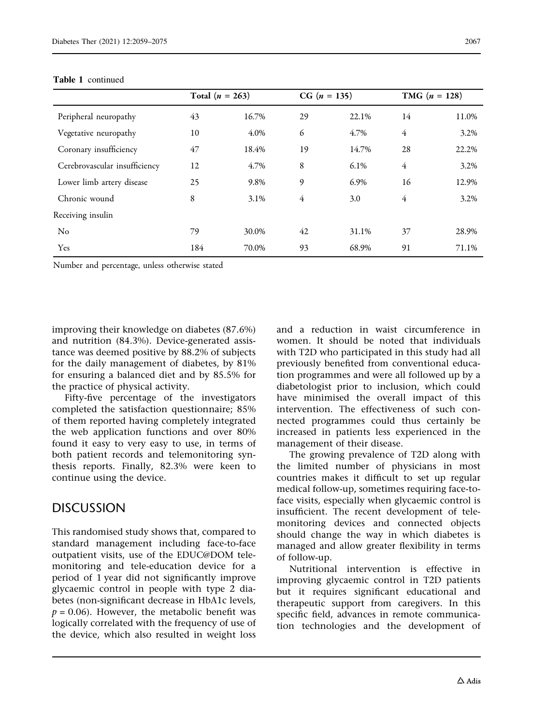|                               | Total $(n = 263)$ |       |    | $CG (n = 135)$ |                | <b>TMG</b> $(n = 128)$ |  |
|-------------------------------|-------------------|-------|----|----------------|----------------|------------------------|--|
| Peripheral neuropathy         | 43                | 16.7% | 29 | 22.1%          | 14             | 11.0%                  |  |
| Vegetative neuropathy         | 10                | 4.0%  | 6  | 4.7%           | $\overline{4}$ | 3.2%                   |  |
| Coronary insufficiency        | 47                | 18.4% | 19 | 14.7%          | 28             | 22.2%                  |  |
| Cerebrovascular insufficiency | 12                | 4.7%  | 8  | $6.1\%$        | $\overline{4}$ | 3.2%                   |  |
| Lower limb artery disease     | 25                | 9.8%  | 9  | 6.9%           | 16             | 12.9%                  |  |
| Chronic wound                 | 8                 | 3.1%  | 4  | 3.0            | $\overline{4}$ | 3.2%                   |  |
| Receiving insulin             |                   |       |    |                |                |                        |  |
| No                            | 79                | 30.0% | 42 | 31.1%          | 37             | 28.9%                  |  |
| Yes                           | 184               | 70.0% | 93 | 68.9%          | 91             | 71.1%                  |  |

#### Table 1 continued

Number and percentage, unless otherwise stated

improving their knowledge on diabetes (87.6%) and nutrition (84.3%). Device-generated assistance was deemed positive by 88.2% of subjects for the daily management of diabetes, by 81% for ensuring a balanced diet and by 85.5% for the practice of physical activity.

Fifty-five percentage of the investigators completed the satisfaction questionnaire; 85% of them reported having completely integrated the web application functions and over 80% found it easy to very easy to use, in terms of both patient records and telemonitoring synthesis reports. Finally, 82.3% were keen to continue using the device.

### DISCUSSION

This randomised study shows that, compared to standard management including face-to-face outpatient visits, use of the EDUC@DOM telemonitoring and tele-education device for a period of 1 year did not significantly improve glycaemic control in people with type 2 diabetes (non-significant decrease in HbA1c levels,  $p = 0.06$ ). However, the metabolic benefit was logically correlated with the frequency of use of the device, which also resulted in weight loss

and a reduction in waist circumference in women. It should be noted that individuals with T2D who participated in this study had all previously benefited from conventional education programmes and were all followed up by a diabetologist prior to inclusion, which could have minimised the overall impact of this intervention. The effectiveness of such connected programmes could thus certainly be increased in patients less experienced in the management of their disease.

The growing prevalence of T2D along with the limited number of physicians in most countries makes it difficult to set up regular medical follow-up, sometimes requiring face-toface visits, especially when glycaemic control is insufficient. The recent development of telemonitoring devices and connected objects should change the way in which diabetes is managed and allow greater flexibility in terms of follow-up.

Nutritional intervention is effective in improving glycaemic control in T2D patients but it requires significant educational and therapeutic support from caregivers. In this specific field, advances in remote communication technologies and the development of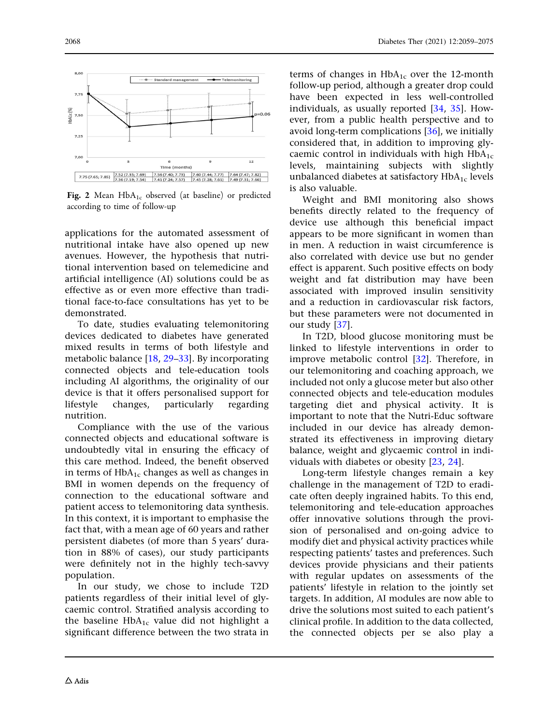

Fig. 2 Mean  $HbA_{1c}$  observed (at baseline) or predicted according to time of follow-up

applications for the automated assessment of nutritional intake have also opened up new avenues. However, the hypothesis that nutritional intervention based on telemedicine and artificial intelligence (AI) solutions could be as effective as or even more effective than traditional face-to-face consultations has yet to be demonstrated.

To date, studies evaluating telemonitoring devices dedicated to diabetes have generated mixed results in terms of both lifestyle and metabolic balance [18, 29–33]. By incorporating connected objects and tele-education tools including AI algorithms, the originality of our device is that it offers personalised support for lifestyle changes, particularly regarding nutrition.

Compliance with the use of the various connected objects and educational software is undoubtedly vital in ensuring the efficacy of this care method. Indeed, the benefit observed in terms of  $HbA_{1c}$  changes as well as changes in BMI in women depends on the frequency of connection to the educational software and patient access to telemonitoring data synthesis. In this context, it is important to emphasise the fact that, with a mean age of 60 years and rather persistent diabetes (of more than 5 years' duration in 88% of cases), our study participants were definitely not in the highly tech-savvy population.

In our study, we chose to include T2D patients regardless of their initial level of glycaemic control. Stratified analysis according to the baseline  $HbA_{1c}$  value did not highlight a significant difference between the two strata in terms of changes in  $HbA_{1c}$  over the 12-month follow-up period, although a greater drop could have been expected in less well-controlled individuals, as usually reported [34, 35]. However, from a public health perspective and to avoid long-term complications [36], we initially considered that, in addition to improving glycaemic control in individuals with high  $HbA_{1c}$ levels, maintaining subjects with slightly unbalanced diabetes at satisfactory  $HbA_{1c}$  levels is also valuable.

Weight and BMI monitoring also shows benefits directly related to the frequency of device use although this beneficial impact appears to be more significant in women than in men. A reduction in waist circumference is also correlated with device use but no gender effect is apparent. Such positive effects on body weight and fat distribution may have been associated with improved insulin sensitivity and a reduction in cardiovascular risk factors, but these parameters were not documented in our study [37].

In T2D, blood glucose monitoring must be linked to lifestyle interventions in order to improve metabolic control [32]. Therefore, in our telemonitoring and coaching approach, we included not only a glucose meter but also other connected objects and tele-education modules targeting diet and physical activity. It is important to note that the Nutri-Educ software included in our device has already demonstrated its effectiveness in improving dietary balance, weight and glycaemic control in individuals with diabetes or obesity [23, 24].

Long-term lifestyle changes remain a key challenge in the management of T2D to eradicate often deeply ingrained habits. To this end, telemonitoring and tele-education approaches offer innovative solutions through the provision of personalised and on-going advice to modify diet and physical activity practices while respecting patients' tastes and preferences. Such devices provide physicians and their patients with regular updates on assessments of the patients' lifestyle in relation to the jointly set targets. In addition, AI modules are now able to drive the solutions most suited to each patient's clinical profile. In addition to the data collected, the connected objects per se also play a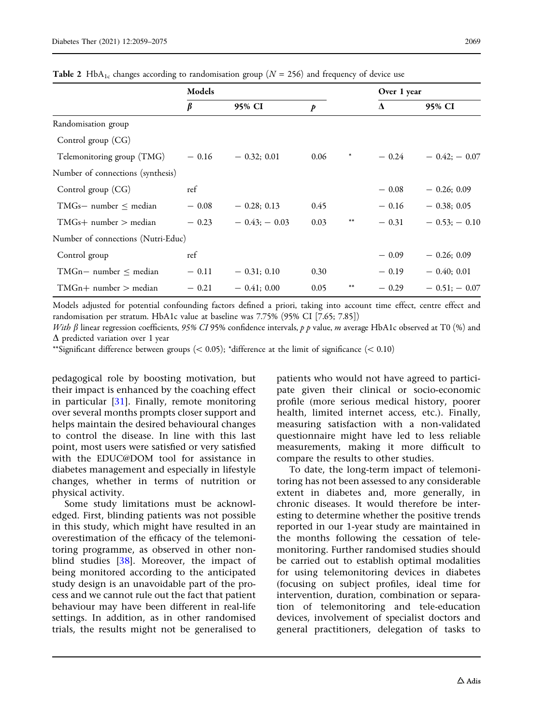|                                    | Models  |               |      |        | Over 1 year |                |
|------------------------------------|---------|---------------|------|--------|-------------|----------------|
|                                    | β       | 95% CI        | p    |        | $\Lambda$   | 95% CI         |
| Randomisation group                |         |               |      |        |             |                |
| Control group (CG)                 |         |               |      |        |             |                |
| Telemonitoring group (TMG)         | $-0.16$ | $-0.32; 0.01$ | 0.06 | $\ast$ | $-0.24$     | $-0.42: -0.07$ |
| Number of connections (synthesis)  |         |               |      |        |             |                |
| Control group $(CG)$               | ref     |               |      |        | $-0.08$     | $-0.26; 0.09$  |
| TMGs- number $\leq$ median         | $-0.08$ | $-0.28; 0.13$ | 0.45 |        | $-0.16$     | $-0.38; 0.05$  |
| $TMGs+ number > median$            | $-0.23$ | $-0.43:-0.03$ | 0.03 | $***$  | $-0.31$     | $-0.53: -0.10$ |
| Number of connections (Nutri-Educ) |         |               |      |        |             |                |
| Control group                      | ref     |               |      |        | $-0.09$     | $-0.26; 0.09$  |
| TMGn- number $\leq$ median         | $-0.11$ | $-0.31; 0.10$ | 0.30 |        | $-0.19$     | $-0.40; 0.01$  |

**Table 2** HbA<sub>1c</sub> changes according to randomisation group ( $N = 256$ ) and frequency of device use

Models adjusted for potential confounding factors defined a priori, taking into account time effect, centre effect and randomisation per stratum. HbA1c value at baseline was 7.75% (95% CI [7.65; 7.85])

 $TMGn+$  number  $>$  median  $-0.21 - 0.41$ ; 0.00  $0.05$  \*\*  $-0.29 - 0.51$ ;  $-0.07$ 

With  $\beta$  linear regression coefficients, 95% CI 95% confidence intervals, p p value, m average HbA1c observed at T0 (%) and  $\Delta$  predicted variation over 1 year

\*\*Significant difference between groups ( $< 0.05$ ); \*difference at the limit of significance ( $< 0.10$ )

pedagogical role by boosting motivation, but their impact is enhanced by the coaching effect in particular [31]. Finally, remote monitoring over several months prompts closer support and helps maintain the desired behavioural changes to control the disease. In line with this last point, most users were satisfied or very satisfied with the EDUC@DOM tool for assistance in diabetes management and especially in lifestyle changes, whether in terms of nutrition or physical activity.

Some study limitations must be acknowledged. First, blinding patients was not possible in this study, which might have resulted in an overestimation of the efficacy of the telemonitoring programme, as observed in other nonblind studies [38]. Moreover, the impact of being monitored according to the anticipated study design is an unavoidable part of the process and we cannot rule out the fact that patient behaviour may have been different in real-life settings. In addition, as in other randomised trials, the results might not be generalised to

patients who would not have agreed to participate given their clinical or socio-economic profile (more serious medical history, poorer health, limited internet access, etc.). Finally, measuring satisfaction with a non-validated questionnaire might have led to less reliable measurements, making it more difficult to compare the results to other studies.

To date, the long-term impact of telemonitoring has not been assessed to any considerable extent in diabetes and, more generally, in chronic diseases. It would therefore be interesting to determine whether the positive trends reported in our 1-year study are maintained in the months following the cessation of telemonitoring. Further randomised studies should be carried out to establish optimal modalities for using telemonitoring devices in diabetes (focusing on subject profiles, ideal time for intervention, duration, combination or separation of telemonitoring and tele-education devices, involvement of specialist doctors and general practitioners, delegation of tasks to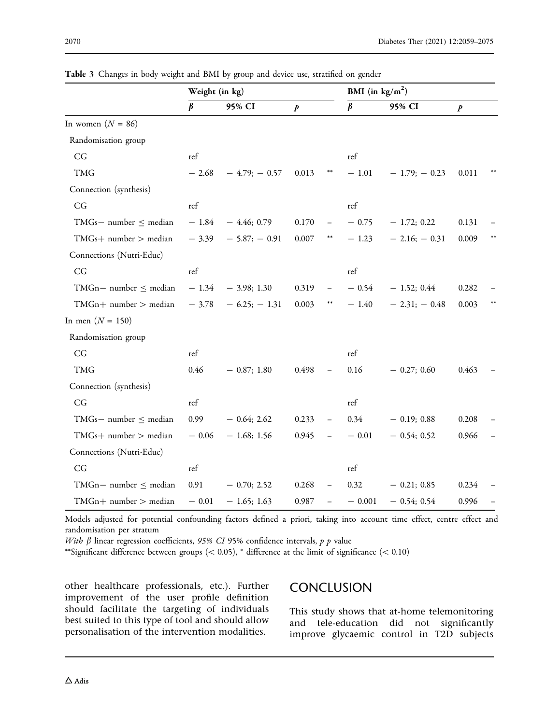|                               | Weight (in kg)       |                |                  |                          | BMI (in $\text{kg/m}^2$ ) |                   |                  |  |
|-------------------------------|----------------------|----------------|------------------|--------------------------|---------------------------|-------------------|------------------|--|
|                               | $\beta$              | 95% CI         | $\boldsymbol{p}$ |                          | $\beta$                   | 95% CI            | $\boldsymbol{p}$ |  |
| In women $(N = 86)$           |                      |                |                  |                          |                           |                   |                  |  |
| Randomisation group           |                      |                |                  |                          |                           |                   |                  |  |
| $\mathbb{C}\mathbb{G}$        | ref                  |                |                  |                          | ref                       |                   |                  |  |
| <b>TMG</b>                    | $-2.68$              | $-4.79; -0.57$ | 0.013            | $***$                    | $-1.01$                   | $-1.79$ ; $-0.23$ | 0.011            |  |
| Connection (synthesis)        |                      |                |                  |                          |                           |                   |                  |  |
| CG                            | ref                  |                |                  |                          | $\operatorname{ref}$      |                   |                  |  |
| $TMGs$ - number $\leq$ median | $-1.84$              | $-4.46; 0.79$  | 0.170            |                          | $-0.75$                   | $-1.72; 0.22$     | 0.131            |  |
| $TMGs+ number > median$       | $-3.39$              | $-5.87:-0.91$  | $0.007\,$        | **                       | $-1.23$                   | $-2.16$ ; $-0.31$ | 0.009            |  |
| Connections (Nutri-Educ)      |                      |                |                  |                          |                           |                   |                  |  |
| CG                            | $\operatorname{ref}$ |                |                  |                          | $\operatorname{ref}$      |                   |                  |  |
| $TMGn$ - number $\leq$ median | $-1.34$              | $-3.98; 1.30$  | 0.319            |                          | $-0.54$                   | $-1.52; 0.44$     | 0.282            |  |
| $TMGn+ number > median$       | $-3.78$              | $-6.25:-1.31$  | 0.003            | $***$                    | $-1.40$                   | $-2.31; -0.48$    | 0.003            |  |
| In men $(N = 150)$            |                      |                |                  |                          |                           |                   |                  |  |
| Randomisation group           |                      |                |                  |                          |                           |                   |                  |  |
| CG                            | ref                  |                |                  |                          | ref                       |                   |                  |  |
| <b>TMG</b>                    | 0.46                 | $-0.87; 1.80$  | 0.498            |                          | 0.16                      | $-0.27; 0.60$     | 0.463            |  |
| Connection (synthesis)        |                      |                |                  |                          |                           |                   |                  |  |
| CG                            | ref                  |                |                  |                          | ref                       |                   |                  |  |
| $TMGs$ - number $\leq$ median | 0.99                 | $-0.64; 2.62$  | 0.233            |                          | 0.34                      | $-0.19; 0.88$     | 0.208            |  |
| $TMGs+ number > median$       | $-0.06$              | $-1.68; 1.56$  | 0.945            |                          | $-0.01$                   | $-0.54; 0.52$     | 0.966            |  |
| Connections (Nutri-Educ)      |                      |                |                  |                          |                           |                   |                  |  |
| CG                            | ref                  |                |                  |                          | ref                       |                   |                  |  |
| $TMGn$ - number $\leq$ median | 0.91                 | $-0.70; 2.52$  | 0.268            | $\overline{\phantom{0}}$ | 0.32                      | $-0.21; 0.85$     | 0.234            |  |
| $TMGn+ number > median$       | $-0.01$              | $-1.65:1.63$   | 0.987            |                          | $-0.001$                  | $-0.54:0.54$      | 0.996            |  |

Table 3 Changes in body weight and BMI by group and device use, stratified on gender

Models adjusted for potential confounding factors defined a priori, taking into account time effect, centre effect and randomisation per stratum

With  $\beta$  linear regression coefficients, 95% CI 95% confidence intervals,  $p$   $p$  value

\*\*Significant difference between groups  $(< 0.05)$ , \* difference at the limit of significance  $(< 0.10)$ 

other healthcare professionals, etc.). Further improvement of the user profile definition should facilitate the targeting of individuals best suited to this type of tool and should allow personalisation of the intervention modalities.

### **CONCLUSION**

This study shows that at-home telemonitoring and tele-education did not significantly improve glycaemic control in T2D subjects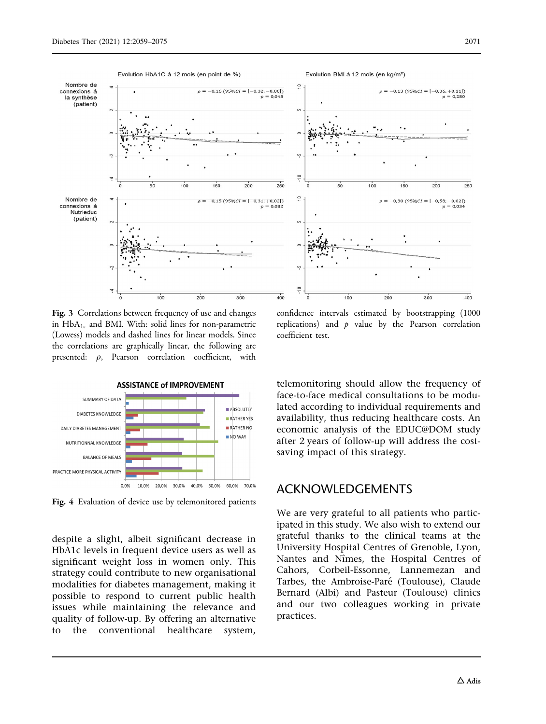

Fig. 3 Correlations between frequency of use and changes in  $HbA_{1c}$  and BMI. With: solid lines for non-parametric (Lowess) models and dashed lines for linear models. Since the correlations are graphically linear, the following are presented:  $\rho$ , Pearson correlation coefficient, with



Fig. 4 Evaluation of device use by telemonitored patients

despite a slight, albeit significant decrease in HbA1c levels in frequent device users as well as significant weight loss in women only. This strategy could contribute to new organisational modalities for diabetes management, making it possible to respond to current public health issues while maintaining the relevance and quality of follow-up. By offering an alternative to the conventional healthcare system,

confidence intervals estimated by bootstrapping (1000 replications) and  $p$  value by the Pearson correlation coefficient test.

telemonitoring should allow the frequency of face-to-face medical consultations to be modulated according to individual requirements and availability, thus reducing healthcare costs. An economic analysis of the EDUC@DOM study after 2 years of follow-up will address the costsaving impact of this strategy.

### ACKNOWLEDGEMENTS

We are very grateful to all patients who participated in this study. We also wish to extend our grateful thanks to the clinical teams at the University Hospital Centres of Grenoble, Lyon, Nantes and Nîmes, the Hospital Centres of Cahors, Corbeil-Essonne, Lannemezan and Tarbes, the Ambroise-Paré (Toulouse), Claude Bernard (Albi) and Pasteur (Toulouse) clinics and our two colleagues working in private practices.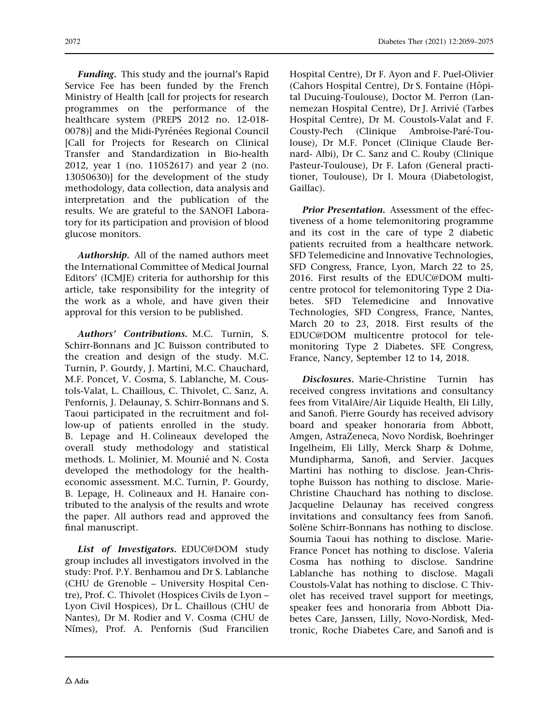Funding. This study and the journal's Rapid Service Fee has been funded by the French Ministry of Health [call for projects for research programmes on the performance of the healthcare system (PREPS 2012 no. 12-018- 0078)] and the Midi-Pyrénées Regional Council [Call for Projects for Research on Clinical Transfer and Standardization in Bio-health 2012, year 1 (no. 11052617) and year 2 (no. 13050630)] for the development of the study methodology, data collection, data analysis and interpretation and the publication of the results. We are grateful to the SANOFI Laboratory for its participation and provision of blood glucose monitors.

Authorship. All of the named authors meet the International Committee of Medical Journal Editors' (ICMJE) criteria for authorship for this article, take responsibility for the integrity of the work as a whole, and have given their approval for this version to be published.

Authors' Contributions. M.C. Turnin, S. Schirr-Bonnans and JC Buisson contributed to the creation and design of the study. M.C. Turnin, P. Gourdy, J. Martini, M.C. Chauchard, M.F. Poncet, V. Cosma, S. Lablanche, M. Coustols-Valat, L. Chaillous, C. Thivolet, C. Sanz, A. Penfornis, J. Delaunay, S. Schirr-Bonnans and S. Taoui participated in the recruitment and follow-up of patients enrolled in the study. B. Lepage and H. Colineaux developed the overall study methodology and statistical methods. L. Molinier, M. Mounié and N. Costa developed the methodology for the healtheconomic assessment. M.C. Turnin, P. Gourdy, B. Lepage, H. Colineaux and H. Hanaire contributed to the analysis of the results and wrote the paper. All authors read and approved the final manuscript.

List of Investigators. EDUC@DOM study group includes all investigators involved in the study: Prof. P.Y. Benhamou and Dr S. Lablanche (CHU de Grenoble – University Hospital Centre), Prof. C. Thivolet (Hospices Civils de Lyon – Lyon Civil Hospices), Dr L. Chaillous (CHU de Nantes), Dr M. Rodier and V. Cosma (CHU de Nîmes), Prof. A. Penfornis (Sud Francilien

Hospital Centre), Dr F. Ayon and F. Puel-Olivier (Cahors Hospital Centre), Dr S. Fontaine (Hôpital Ducuing-Toulouse), Doctor M. Perron (Lannemezan Hospital Centre), Dr J. Arrivié (Tarbes Hospital Centre), Dr M. Coustols-Valat and F. Cousty-Pech (Clinique Ambroise-Paré-Toulouse), Dr M.F. Poncet (Clinique Claude Bernard- Albi), Dr C. Sanz and C. Rouby (Clinique Pasteur-Toulouse), Dr F. Lafon (General practitioner, Toulouse), Dr I. Moura (Diabetologist, Gaillac).

Prior Presentation. Assessment of the effectiveness of a home telemonitoring programme and its cost in the care of type 2 diabetic patients recruited from a healthcare network. SFD Telemedicine and Innovative Technologies, SFD Congress, France, Lyon, March 22 to 25, 2016. First results of the EDUC@DOM multicentre protocol for telemonitoring Type 2 Diabetes. SFD Telemedicine and Innovative Technologies, SFD Congress, France, Nantes, March 20 to 23, 2018. First results of the EDUC@DOM multicentre protocol for telemonitoring Type 2 Diabetes. SFE Congress, France, Nancy, September 12 to 14, 2018.

Disclosures. Marie-Christine Turnin has received congress invitations and consultancy fees from VitalAire/Air Liquide Health, Eli Lilly, and Sanofi. Pierre Gourdy has received advisory board and speaker honoraria from Abbott, Amgen, AstraZeneca, Novo Nordisk, Boehringer Ingelheim, Eli Lilly, Merck Sharp & Dohme, Mundipharma, Sanofi, and Servier. Jacques Martini has nothing to disclose. Jean-Christophe Buisson has nothing to disclose. Marie-Christine Chauchard has nothing to disclose. Jacqueline Delaunay has received congress invitations and consultancy fees from Sanofi. Solène Schirr-Bonnans has nothing to disclose. Soumia Taoui has nothing to disclose. Marie-France Poncet has nothing to disclose. Valeria Cosma has nothing to disclose. Sandrine Lablanche has nothing to disclose. Magali Coustols-Valat has nothing to disclose. C Thivolet has received travel support for meetings, speaker fees and honoraria from Abbott Diabetes Care, Janssen, Lilly, Novo-Nordisk, Medtronic, Roche Diabetes Care, and Sanofi and is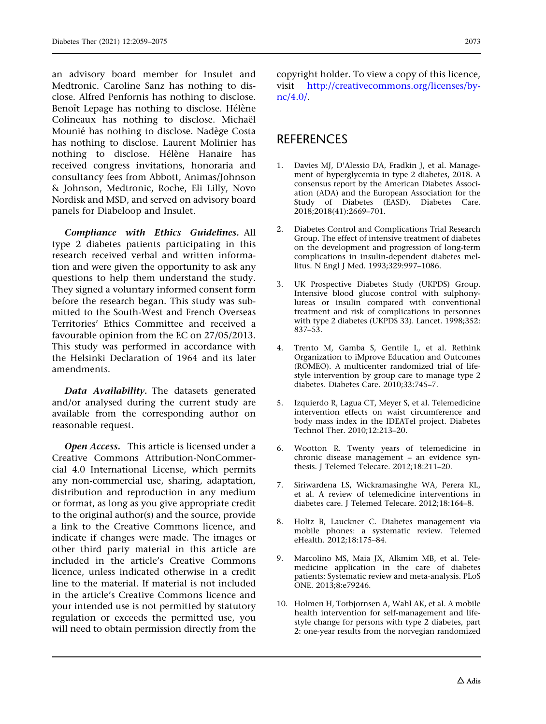an advisory board member for Insulet and Medtronic. Caroline Sanz has nothing to disclose. Alfred Penfornis has nothing to disclose. Benoît Lepage has nothing to disclose. Hélène Colineaux has nothing to disclose. Michaël Mounié has nothing to disclose. Nadège Costa has nothing to disclose. Laurent Molinier has nothing to disclose. Hélène Hanaire has received congress invitations, honoraria and consultancy fees from Abbott, Animas/Johnson & Johnson, Medtronic, Roche, Eli Lilly, Novo Nordisk and MSD, and served on advisory board panels for Diabeloop and Insulet.

Compliance with Ethics Guidelines. All type 2 diabetes patients participating in this research received verbal and written information and were given the opportunity to ask any questions to help them understand the study. They signed a voluntary informed consent form before the research began. This study was submitted to the South-West and French Overseas Territories' Ethics Committee and received a favourable opinion from the EC on 27/05/2013. This study was performed in accordance with the Helsinki Declaration of 1964 and its later amendments.

Data Availability. The datasets generated and/or analysed during the current study are available from the corresponding author on reasonable request.

Open Access. This article is licensed under a Creative Commons Attribution-NonCommercial 4.0 International License, which permits any non-commercial use, sharing, adaptation, distribution and reproduction in any medium or format, as long as you give appropriate credit to the original author(s) and the source, provide a link to the Creative Commons licence, and indicate if changes were made. The images or other third party material in this article are included in the article's Creative Commons licence, unless indicated otherwise in a credit line to the material. If material is not included in the article's Creative Commons licence and your intended use is not permitted by statutory regulation or exceeds the permitted use, you will need to obtain permission directly from the

copyright holder. To view a copy of this licence, visit [http://creativecommons.org/licenses/by](http://creativecommons.org/licenses/by-nc/4.0/)[nc/4.0/](http://creativecommons.org/licenses/by-nc/4.0/).

## **REFERENCES**

- 1. Davies MJ, D'Alessio DA, Fradkin J, et al. Management of hyperglycemia in type 2 diabetes, 2018. A consensus report by the American Diabetes Association (ADA) and the European Association for the Study of Diabetes (EASD). Diabetes Care. 2018;2018(41):2669–701.
- 2. Diabetes Control and Complications Trial Research Group. The effect of intensive treatment of diabetes on the development and progression of long-term complications in insulin-dependent diabetes mellitus. N Engl J Med. 1993:329:997-1086.
- 3. UK Prospective Diabetes Study (UKPDS) Group. Intensive blood glucose control with sulphonylureas or insulin compared with conventional treatment and risk of complications in personnes with type 2 diabetes (UKPDS 33). Lancet. 1998;352: 837–53.
- 4. Trento M, Gamba S, Gentile L, et al. Rethink Organization to iMprove Education and Outcomes (ROMEO). A multicenter randomized trial of lifestyle intervention by group care to manage type 2 diabetes. Diabetes Care. 2010;33:745–7.
- 5. Izquierdo R, Lagua CT, Meyer S, et al. Telemedicine intervention effects on waist circumference and body mass index in the IDEATel project. Diabetes Technol Ther. 2010;12:213–20.
- 6. Wootton R. Twenty years of telemedicine in chronic disease management – an evidence synthesis. J Telemed Telecare. 2012;18:211–20.
- 7. Siriwardena LS, Wickramasinghe WA, Perera KL, et al. A review of telemedicine interventions in diabetes care. J Telemed Telecare. 2012;18:164–8.
- 8. Holtz B, Lauckner C. Diabetes management via mobile phones: a systematic review. Telemed eHealth. 2012;18:175–84.
- 9. Marcolino MS, Maia JX, Alkmim MB, et al. Telemedicine application in the care of diabetes patients: Systematic review and meta-analysis. PLoS ONE. 2013;8:e79246.
- 10. Holmen H, Torbjornsen A, Wahl AK, et al. A mobile health intervention for self-management and lifestyle change for persons with type 2 diabetes, part 2: one-year results from the norvegian randomized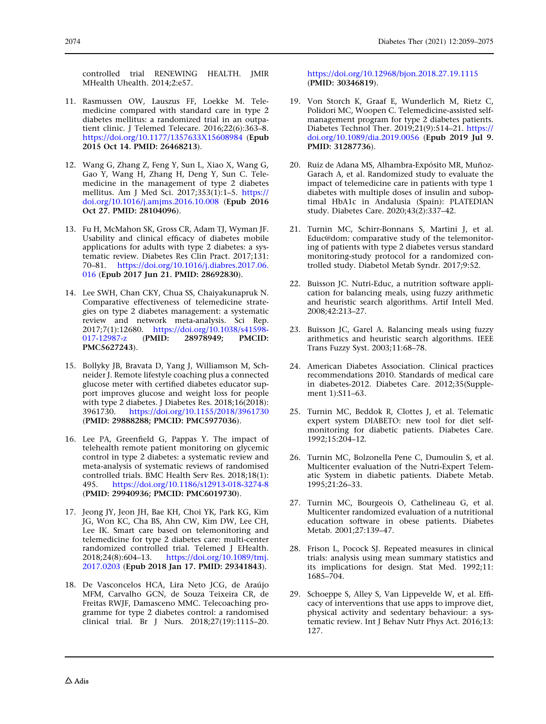controlled trial RENEWING HEALTH. JMIR MHealth Uhealth. 2014;2:e57.

- 11. Rasmussen OW, Lauszus FF, Loekke M. Telemedicine compared with standard care in type 2 diabetes mellitus: a randomized trial in an outpatient clinic. J Telemed Telecare. 2016;22(6):363–8. <https://doi.org/10.1177/1357633X15608984> (Epub 2015 Oct 14. PMID: 26468213).
- 12. Wang G, Zhang Z, Feng Y, Sun L, Xiao X, Wang G, Gao Y, Wang H, Zhang H, Deng Y, Sun C. Telemedicine in the management of type 2 diabetes mellitus. Am J Med Sci. 2017;353(1):1–5. [https://](https://doi.org/10.1016/j.amjms.2016.10.008) [doi.org/10.1016/j.amjms.2016.10.008](https://doi.org/10.1016/j.amjms.2016.10.008) (Epub 2016 Oct 27. PMID: 28104096).
- 13. Fu H, McMahon SK, Gross CR, Adam TJ, Wyman JF. Usability and clinical efficacy of diabetes mobile applications for adults with type 2 diabetes: a systematic review. Diabetes Res Clin Pract. 2017;131: 70–81. [https://doi.org/10.1016/j.diabres.2017.06.](https://doi.org/10.1016/j.diabres.2017.06.016) [016](https://doi.org/10.1016/j.diabres.2017.06.016) (Epub 2017 Jun 21. PMID: 28692830).
- 14. Lee SWH, Chan CKY, Chua SS, Chaiyakunapruk N. Comparative effectiveness of telemedicine strategies on type 2 diabetes management: a systematic review and network meta-analysis. Sci Rep. 2017;7(1):12680. [https://doi.org/10.1038/s41598-](https://doi.org/10.1038/s41598-017-12987-z)<br>017-12987-z (PMID: 28978949; PMCID: [017-12987-z](https://doi.org/10.1038/s41598-017-12987-z) PMC5627243).
- 15. Bollyky JB, Bravata D, Yang J, Williamson M, Schneider J. Remote lifestyle coaching plus a connected glucose meter with certified diabetes educator support improves glucose and weight loss for people with type 2 diabetes. J Diabetes Res. 2018;16(2018): 3961730. <https://doi.org/10.1155/2018/3961730> (PMID: 29888288; PMCID: PMC5977036).
- 16. Lee PA, Greenfield G, Pappas Y. The impact of telehealth remote patient monitoring on glycemic control in type 2 diabetes: a systematic review and meta-analysis of systematic reviews of randomised controlled trials. BMC Health Serv Res. 2018;18(1): 495. <https://doi.org/10.1186/s12913-018-3274-8> (PMID: 29940936; PMCID: PMC6019730).
- 17. Jeong JY, Jeon JH, Bae KH, Choi YK, Park KG, Kim JG, Won KC, Cha BS, Ahn CW, Kim DW, Lee CH, Lee IK. Smart care based on telemonitoring and telemedicine for type 2 diabetes care: multi-center randomized controlled trial. Telemed J EHealth.<br>2018;24(8):604–13. https://doi.org/10.1089/tmj. [https://doi.org/10.1089/tmj.](https://doi.org/10.1089/tmj.2017.0203) [2017.0203](https://doi.org/10.1089/tmj.2017.0203) (Epub 2018 Jan 17. PMID: 29341843).
- 18. De Vasconcelos HCA, Lira Neto JCG, de Araújo MFM, Carvalho GCN, de Souza Teixeira CR, de Freitas RWJF, Damasceno MMC. Telecoaching programme for type 2 diabetes control: a randomised clinical trial. Br J Nurs. 2018;27(19):1115–20.

<https://doi.org/10.12968/bjon.2018.27.19.1115> (PMID: 30346819).

- 19. Von Storch K, Graaf E, Wunderlich M, Rietz C, Polidori MC, Woopen C. Telemedicine-assisted selfmanagement program for type 2 diabetes patients. Diabetes Technol Ther. 2019;21(9):514–21. [https://](https://doi.org/10.1089/dia.2019.0056) [doi.org/10.1089/dia.2019.0056](https://doi.org/10.1089/dia.2019.0056) (Epub 2019 Jul 9. PMID: 31287736).
- 20. Ruiz de Adana MS, Alhambra-Expósito MR, Muñoz-Garach A, et al. Randomized study to evaluate the impact of telemedicine care in patients with type 1 diabetes with multiple doses of insulin and suboptimal HbA1c in Andalusia (Spain): PLATEDIAN study. Diabetes Care. 2020;43(2):337–42.
- 21. Turnin MC, Schirr-Bonnans S, Martini J, et al. Educ@dom: comparative study of the telemonitoring of patients with type 2 diabetes versus standard monitoring-study protocol for a randomized controlled study. Diabetol Metab Syndr. 2017;9:52.
- 22. Buisson JC. Nutri-Educ, a nutrition software application for balancing meals, using fuzzy arithmetic and heuristic search algorithms. Artif Intell Med. 2008;42:213–27.
- 23. Buisson JC, Garel A. Balancing meals using fuzzy arithmetics and heuristic search algorithms. IEEE Trans Fuzzy Syst. 2003;11:68–78.
- 24. American Diabetes Association. Clinical practices recommendations 2010. Standards of medical care in diabetes-2012. Diabetes Care. 2012;35(Supplement 1):S11–63.
- 25. Turnin MC, Beddok R, Clottes J, et al. Telematic expert system DIABETO: new tool for diet selfmonitoring for diabetic patients. Diabetes Care. 1992;15:204–12.
- 26. Turnin MC, Bolzonella Pene C, Dumoulin S, et al. Multicenter evaluation of the Nutri-Expert Telematic System in diabetic patients. Diabete Metab. 1995;21:26–33.
- 27. Turnin MC, Bourgeois O, Cathelineau G, et al. Multicenter randomized evaluation of a nutritional education software in obese patients. Diabetes Metab. 2001;27:139–47.
- 28. Frison L, Pocock SJ. Repeated measures in clinical trials: analysis using mean summary statistics and its implications for design. Stat Med. 1992;11: 1685–704.
- 29. Schoeppe S, Alley S, Van Lippevelde W, et al. Efficacy of interventions that use apps to improve diet, physical activity and sedentary behaviour: a systematic review. Int J Behav Nutr Phys Act. 2016;13: 127.